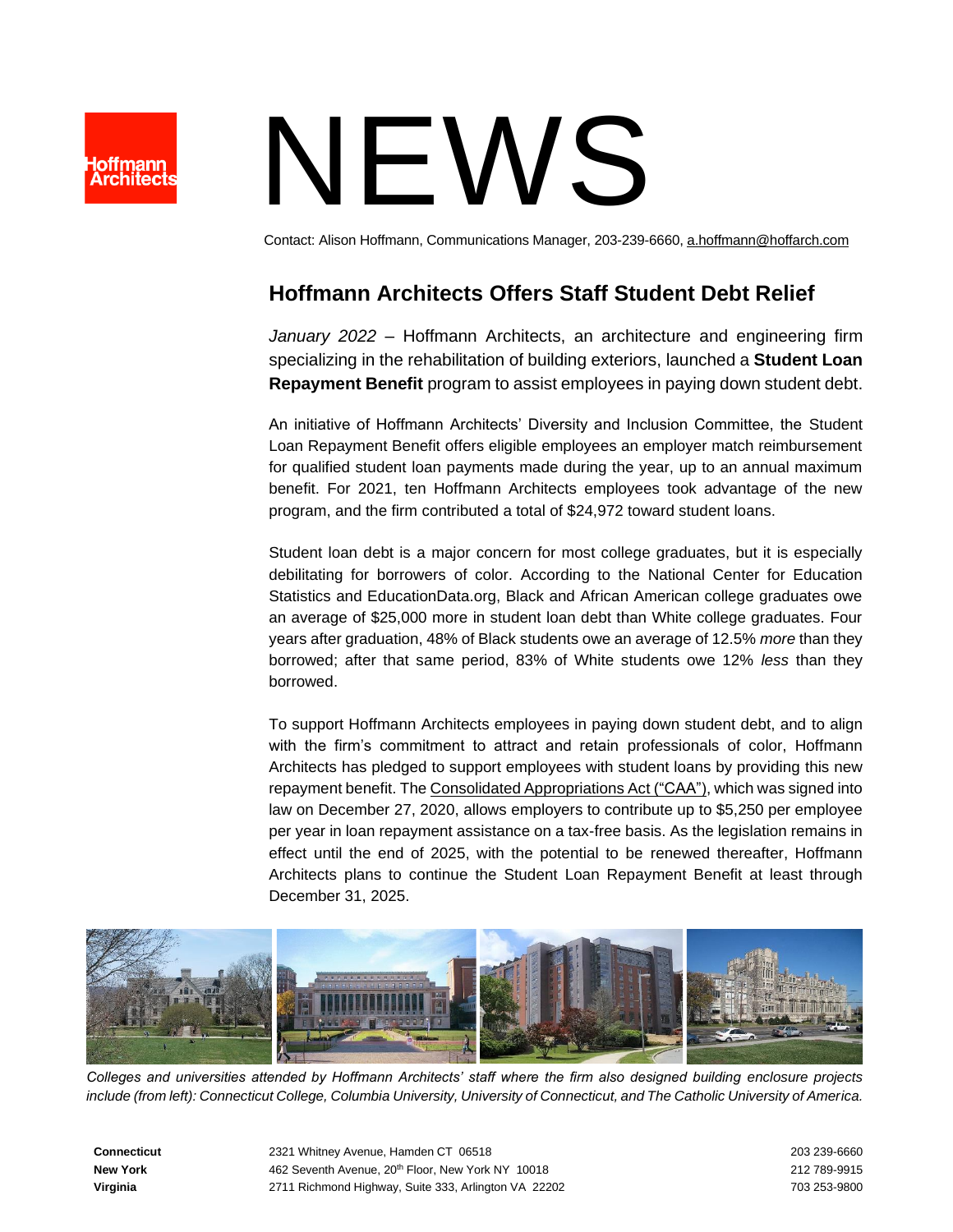

## NEWS

Contact: Alison Hoffmann, Communications Manager, 203-239-6660[, a.hoffmann@hoffarch.com](mailto:a.hoffmann@hoffarch.com)

## **Hoffmann Architects Offers Staff Student Debt Relief**

*January 2022* – Hoffmann Architects, an architecture and engineering firm specializing in the rehabilitation of building exteriors, launched a **Student Loan Repayment Benefit** program to assist employees in paying down student debt.

An initiative of Hoffmann Architects' Diversity and Inclusion Committee, the Student Loan Repayment Benefit offers eligible employees an employer match reimbursement for qualified student loan payments made during the year, up to an annual maximum benefit. For 2021, ten Hoffmann Architects employees took advantage of the new program, and the firm contributed a total of \$24,972 toward student loans.

Student loan debt is a major concern for most college graduates, but it is especially debilitating for borrowers of color. According to the National Center for Education Statistics and EducationData.org, Black and African American college graduates owe an average of \$25,000 more in student loan debt than White college graduates. Four years after graduation, 48% of Black students owe an average of 12.5% *more* than they borrowed; after that same period, 83% of White students owe 12% *less* than they borrowed.

To support Hoffmann Architects employees in paying down student debt, and to align with the firm's commitment to attract and retain professionals of color, Hoffmann Architects has pledged to support employees with student loans by providing this new repayment benefit. Th[e Consolidated Appropriations Act \("CAA"\),](https://www.congress.gov/bill/116th-congress/house-bill/133/text) which was signed into law on December 27, 2020, allows employers to contribute up to \$5,250 per employee per year in loan repayment assistance on a tax-free basis. As the legislation remains in effect until the end of 2025, with the potential to be renewed thereafter, Hoffmann Architects plans to continue the Student Loan Repayment Benefit at least through December 31, 2025.



*Colleges and universities attended by Hoffmann Architects' staff where the firm also designed building enclosure projects include (from left): Connecticut College, Columbia University, University of Connecticut, and The Catholic University of America.*

**Connecticut** 2321 Whitney Avenue, Hamden CT 06518 2012 2021 203 239-6660 **New York <b>18** 212 789-9915 **462 Seventh Avenue, 20<sup>th</sup> Floor, New York NY 10018** 21 2001 212 789-9915 **Virginia** 2711 Richmond Highway, Suite 333, Arlington VA 22202 703 253-9800